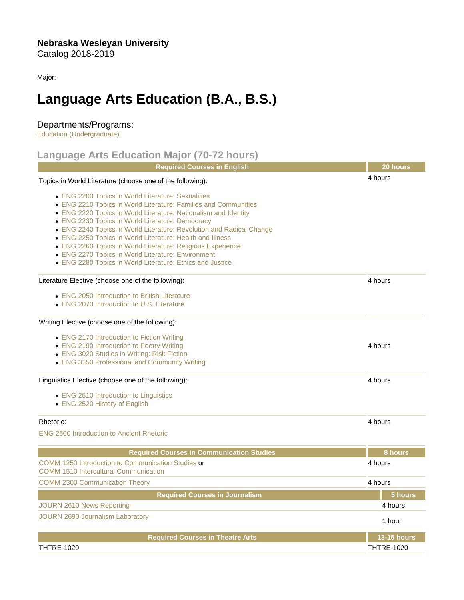Major:

## Language Arts Education (B.A., B.S.)

## Departments/Programs:

[Education \(Undergraduate\)](https://catalog.nebrwesleyan.edu/cc/2018-2019/department/330852)

## Language Arts Education Major (70-72 hours)

|                                                                                                    | <b>Required Courses in English</b>                                                                                                                                                                                                                                                                                                                                                                                                                                                                                                                                  | 20 hours           |
|----------------------------------------------------------------------------------------------------|---------------------------------------------------------------------------------------------------------------------------------------------------------------------------------------------------------------------------------------------------------------------------------------------------------------------------------------------------------------------------------------------------------------------------------------------------------------------------------------------------------------------------------------------------------------------|--------------------|
|                                                                                                    | Topics in World Literature (choose one of the following):                                                                                                                                                                                                                                                                                                                                                                                                                                                                                                           | 4 hours            |
|                                                                                                    | • ENG 2200 Topics in World Literature: Sexualities<br>• ENG 2210 Topics in World Literature: Families and Communities<br>• ENG 2220 Topics in World Literature: Nationalism and Identity<br>• ENG 2230 Topics in World Literature: Democracy<br>• ENG 2240 Topics in World Literature: Revolution and Radical Change<br>• ENG 2250 Topics in World Literature: Health and Illness<br>• ENG 2260 Topics in World Literature: Religious Experience<br>• ENG 2270 Topics in World Literature: Environment<br>• ENG 2280 Topics in World Literature: Ethics and Justice |                    |
|                                                                                                    | Literature Elective (choose one of the following):                                                                                                                                                                                                                                                                                                                                                                                                                                                                                                                  | 4 hours            |
|                                                                                                    | • ENG 2050 Introduction to British Literature<br>• ENG 2070 Introduction to U.S. Literature                                                                                                                                                                                                                                                                                                                                                                                                                                                                         |                    |
|                                                                                                    | Writing Elective (choose one of the following):                                                                                                                                                                                                                                                                                                                                                                                                                                                                                                                     |                    |
|                                                                                                    | • ENG 2170 Introduction to Fiction Writing<br>• ENG 2190 Introduction to Poetry Writing<br>• ENG 3020 Studies in Writing: Risk Fiction<br>• ENG 3150 Professional and Community Writing                                                                                                                                                                                                                                                                                                                                                                             | 4 hours            |
|                                                                                                    | Linguistics Elective (choose one of the following):                                                                                                                                                                                                                                                                                                                                                                                                                                                                                                                 | 4 hours            |
|                                                                                                    | • ENG 2510 Introduction to Linguistics<br>• ENG 2520 History of English                                                                                                                                                                                                                                                                                                                                                                                                                                                                                             |                    |
| Rhetoric:                                                                                          |                                                                                                                                                                                                                                                                                                                                                                                                                                                                                                                                                                     | 4 hours            |
|                                                                                                    | <b>ENG 2600 Introduction to Ancient Rhetoric</b>                                                                                                                                                                                                                                                                                                                                                                                                                                                                                                                    |                    |
|                                                                                                    | <b>Required Courses in Communication Studies</b>                                                                                                                                                                                                                                                                                                                                                                                                                                                                                                                    | 8 hours            |
| COMM 1250 Introduction to Communication Studies or<br><b>COMM 1510 Intercultural Communication</b> |                                                                                                                                                                                                                                                                                                                                                                                                                                                                                                                                                                     | 4 hours            |
| <b>COMM 2300 Communication Theory</b>                                                              |                                                                                                                                                                                                                                                                                                                                                                                                                                                                                                                                                                     | 4 hours            |
|                                                                                                    | Required Courses in Journalism                                                                                                                                                                                                                                                                                                                                                                                                                                                                                                                                      | 5 hours            |
| <b>JOURN 2610 News Reporting</b>                                                                   |                                                                                                                                                                                                                                                                                                                                                                                                                                                                                                                                                                     | 4 hours            |
| <b>JOURN 2690 Journalism Laboratory</b>                                                            |                                                                                                                                                                                                                                                                                                                                                                                                                                                                                                                                                                     | 1 hour             |
|                                                                                                    | <b>Required Courses in Theatre Arts</b>                                                                                                                                                                                                                                                                                                                                                                                                                                                                                                                             | <b>13-15 hours</b> |
| <b>THTRE-1020</b>                                                                                  |                                                                                                                                                                                                                                                                                                                                                                                                                                                                                                                                                                     | <b>THTRE-1020</b>  |